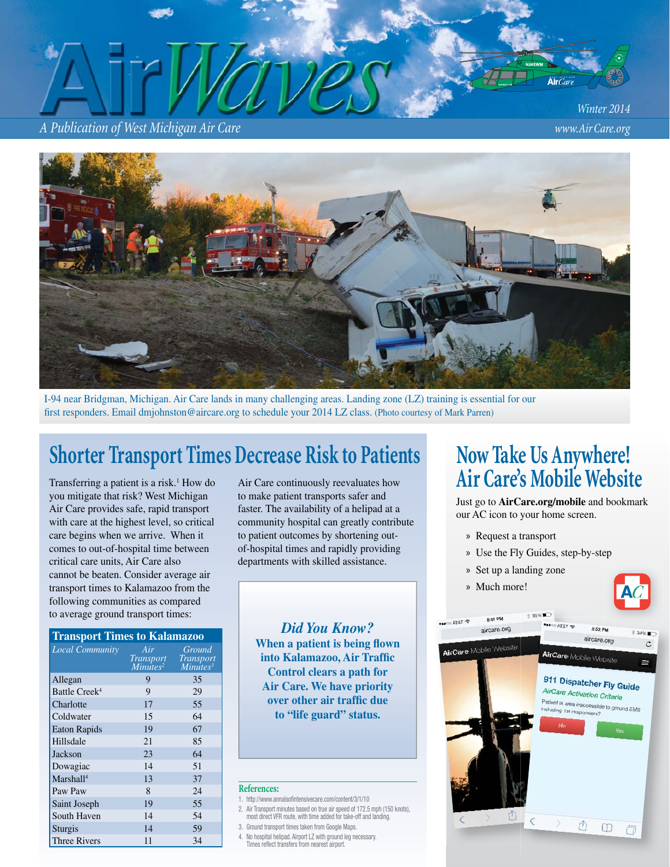*A Publication of West Michigan Air Care www.Air Care.org*

*Winter 2014*

Air $Ca$ 



I-94 near Bridgman, Michigan. Air Care lands in many challenging areas. Landing zone (LZ) training is essential for our first responders. Email dmjohnston@aircare.org to schedule your 2014 LZ class. (Photo courtesy of Mark Parren)

# Shorter Transport Times Decrease Risk to Patients Now Take Us Anywhere!<br>
Transferring a patient is a risk.<sup>1</sup> How do Air Care continuously reevaluates how **Air Care's Mobile Website**

Transferring a patient is a risk.<sup>1</sup> How do you mitigate that risk? West Michigan Air Care provides safe, rapid transport with care at the highest level, so critical care begins when we arrive. When it comes to out-of-hospital time between critical care units, Air Care also cannot be beaten. Consider average air transport times to Kalamazoo from the following communities as compared to average ground transport times:

#### **Transport Times to Kalamazoo**

| <b>Local Community</b>    | Air<br><i>Transport</i><br>Minutes <sup>2</sup> | Ground<br><b>Transport</b><br>Minutes <sup>3</sup> |
|---------------------------|-------------------------------------------------|----------------------------------------------------|
| Allegan                   | 9                                               | 35                                                 |
| Battle Creek <sup>4</sup> | 9                                               | 29                                                 |
| Charlotte                 | 17                                              | 55                                                 |
| Coldwater                 | 15                                              | 64                                                 |
| <b>Eaton Rapids</b>       | 19                                              | 67                                                 |
| Hillsdale                 | 21                                              | 85                                                 |
| Jackson                   | 23                                              | 64                                                 |
| Dowagiac                  | 14                                              | 51                                                 |
| Marshall <sup>4</sup>     | 13                                              | 37                                                 |
| Paw Paw                   | 8                                               | 24                                                 |
| Saint Joseph              | 19                                              | 55                                                 |
| South Haven               | 14                                              | 54                                                 |
| Sturgis                   | 14                                              | 59                                                 |
| Three Rivers              | 11                                              | 34                                                 |

Air Care continuously reevaluates how to make patient transports safer and faster. The availability of a helipad at a community hospital can greatly contribute to patient outcomes by shortening outof-hospital times and rapidly providing departments with skilled assistance.

*Did You Know?* **When a patient is being flown** into Kalamazoo, Air Traffic **Control clears a path for Air Care. We have priority over other air traffic due to "life guard" status.** 

#### **References:**

- 1. http://www.annalsofintensivecare.com/content/3/1/10
- 2. Air Transport minutes based on true air speed of 172.5 mph (150 knots), most direct VFR route, with time added for take-off and landing.
- 3. Ground transport times taken from Google Maps.
- 4. No hospital helipad. Airport LZ with ground leg necessary. Times refl ect transfers from nearest airport.

Just go to **AirCare.org/mobile** and bookmark our AC icon to your home screen.

- » Request a transport
- » Use the Fly Guides, step-by-step
- » Set up a landing zone
- » Much more!



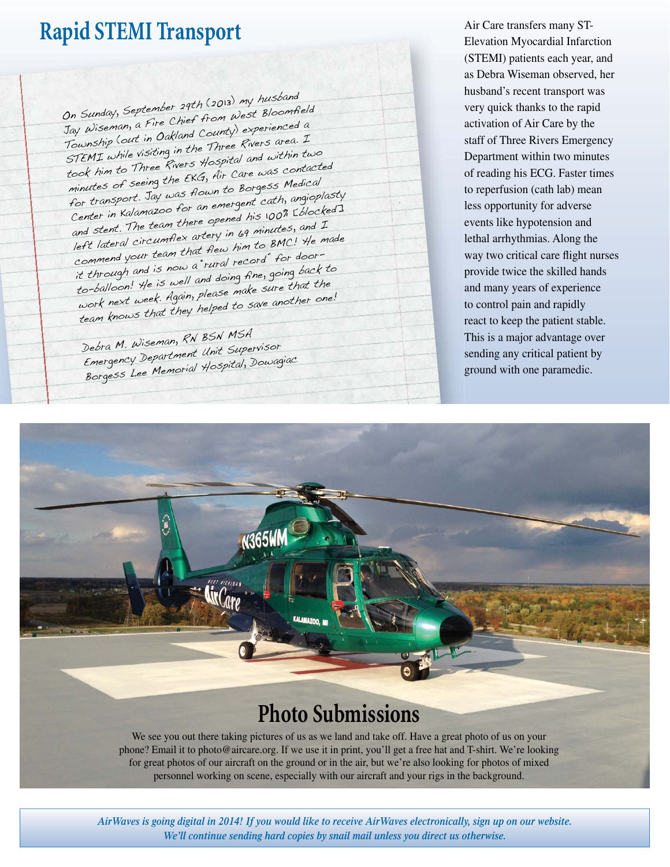# **Rapid STEMI Transport**

On Sunday, September 29th (2013) my husband Jay Wiseman, a Fire Chief from West Bloomfield Township (out in Oakland County) experienced a STEMI while visiting in the Three Rivers area. <sup>I</sup> took him to Three Rivers Hospital and within two minutes of seeing the EKG, Air Care was contacted for transport. Jay was flown to Borgess Medical Center in Kalamazoo for an emergent cath, angioplasty and stent. The team there opened his 100% [blocked] left lateral circumflex artery in 69 minutes, and I commend your team that flew him to BMC! He made it through and is now a "rural record" for doorto-balloon! He is well and doing fine, going back to work next week. Again, please make sure that the team knows that they helped to save another one!

Debra M. Wiseman, RN BSN MSA Emergency Department Unit Supervisor Borgess Lee Memorial Hospital, Dowagiac Air Care transfers many ST-Elevation Myocardial Infarction (STEMI) patients each year, and as Debra Wiseman observed, her husband's recent transport was very quick thanks to the rapid activation of Air Care by the staff of Three Rivers Emergency Department within two minutes of reading his ECG. Faster times to reperfusion (cath lab) mean less opportunity for adverse events like hypotension and lethal arrhythmias. Along the way two critical care flight nurses provide twice the skilled hands and many years of experience to control pain and rapidly react to keep the patient stable. This is a major advantage over sending any critical patient by ground with one paramedic.



for great photos of our aircraft on the ground or in the air, but we're also looking for photos of mixed personnel working on scene, especially with our aircraft and your rigs in the background.

*AirWaves is going digital in 2014! If you would like to receive AirWaves electronically, sign up on our website. We'll continue sending hard copies by snail mail unless you direct us otherwise.*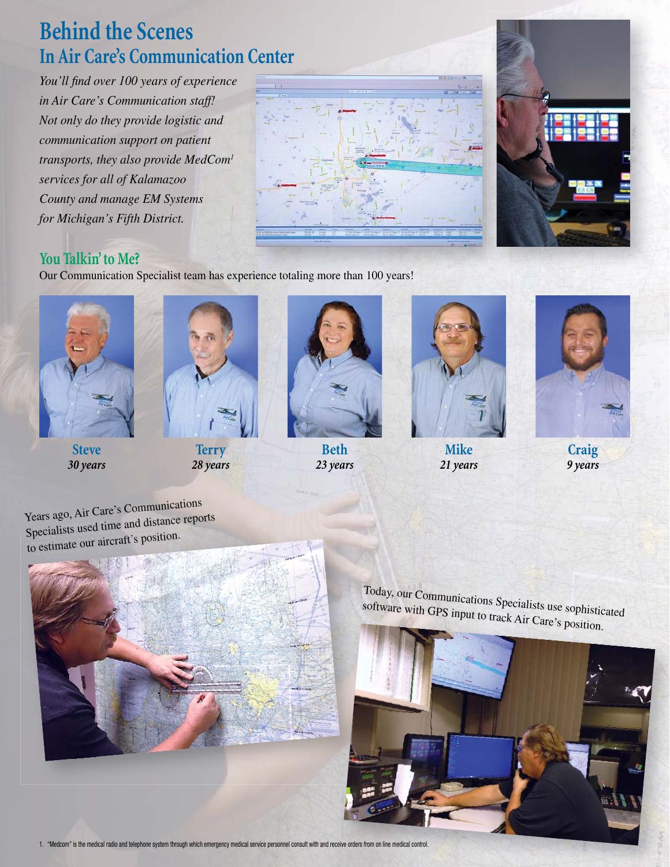# **Behind the Scenes In Air Care's Communication Center**

You'll find over 100 years of experience *in Air Care's Communication staff! Not only do they provide logistic and communication support on patient transports, they also provide MedCom1 services for all of Kalamazoo County and manage EM Systems for Michigan's Fifth District.*





### **You Talkin' to Me?**

Our Communication Specialist team has experience totaling more than 100 years!



**Steve** *30 years*





**Beth** *23 years*



**Mike** *21 years*



**Craig** *9 years*

Years ago, Air Care's Communications Years ago, An Care<br>Specialists used time and distance reports to estimate our aircraft's position.



Today, our Communications Specialists use sophisticated<br>software with GPS input to treal A: software with GPS input to track Air Care's position.